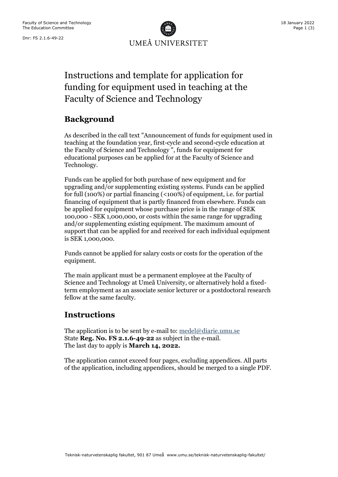Dnr: FS 2.1.6-49-22



# Instructions and template for application for funding for equipment used in teaching at the Faculty of Science and Technology

## **Background**

As described in the call text "Announcement of funds for equipment used in teaching at the foundation year, first-cycle and second-cycle education at the Faculty of Science and Technology ", funds for equipment for educational purposes can be applied for at the Faculty of Science and Technology.

Funds can be applied for both purchase of new equipment and for upgrading and/or supplementing existing systems. Funds can be applied for full (100%) or partial financing (<100%) of equipment, i.e. for partial financing of equipment that is partly financed from elsewhere. Funds can be applied for equipment whose purchase price is in the range of SEK 100,000 - SEK 1,000,000, or costs within the same range for upgrading and/or supplementing existing equipment. The maximum amount of support that can be applied for and received for each individual equipment is SEK 1,000,000.

Funds cannot be applied for salary costs or costs for the operation of the equipment.

The main applicant must be a permanent employee at the Faculty of Science and Technology at Umeå University, or alternatively hold a fixedterm employment as an associate senior lecturer or a postdoctoral research fellow at the same faculty.

### **Instructions**

The application is to be sent by e-mail to[: medel@diarie.umu.se](mailto:medel@diarie.umu.se) State **Reg. No. FS 2.1.6-49-22** as subject in the e-mail. The last day to apply is **March 14, 2022.**

The application cannot exceed four pages, excluding appendices. All parts of the application, including appendices, should be merged to a single PDF.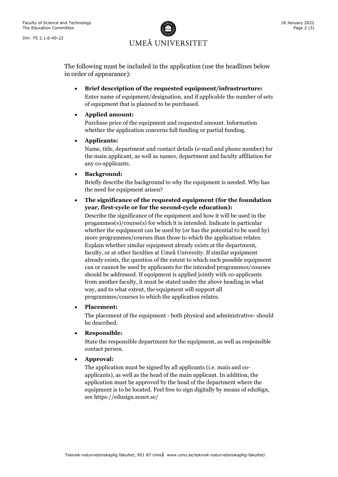UMEÅ UNIVERSITET

The following must be included in the application (use the headlines below in order of appearance):

• **Brief description of the requested equipment/infrastructure:**  Enter name of equipment/designation, and if applicable the number of sets of equipment that is planned to be purchased.

#### • **Applied amount:**

Purchase price of the equipment and requested amount. Information whether the application concerns full funding or partial funding.

#### • **Applicants:**

Name, title, department and contact details (e-mail and phone number) for the main applicant, as well as names, department and faculty affiliation for any co-applicants.

#### • **Background:**

Briefly describe the background to why the equipment is needed. Why has the need for equipment arisen?

#### • **The significance of the requested equipment (for the foundation year, first-cycle or for the second-cycle education):**

Describe the significance of the equipment and how it will be used in the progammes(s)/course(s) for which it is intended. Indicate in particular whether the equipment can be used by (or has the potential to be used by) more programmes/courses than those to which the application relates. Explain whether similar equipment already exists at the department, faculty, or at other faculties at Umeå University. If similar equipment already exists, the question of the extent to which such possible equipment can or cannot be used by applicants for the intended programmes/courses should be addressed. If equipment is applied jointly with co-applicants from another faculty, it must be stated under the above heading in what way, and to what extent, the equipment will support all programmes/courses to which the application relates.

#### • **Placement:**

The placement of the equipment - both physical and administrative- should be described.

#### • **Responsible:**

State the responsible department for the equipment, as well as responsible contact person.

#### • **Approval:**

The application must be signed by all applicants (i.e. main and coapplicants), as well as the head of the main applicant. In addition, the application must be approved by the head of the department where the equipment is to be located. Feel free to sign digitally by means of eduSign, see https://edusign.sunet.se/